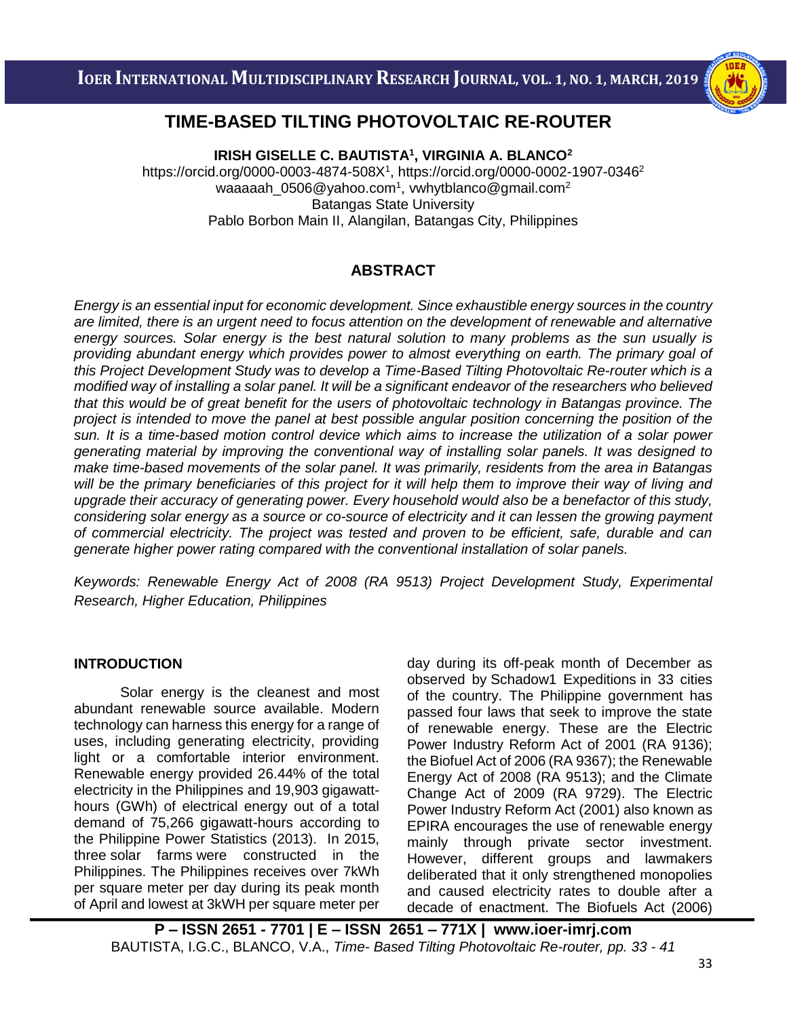

# i<br>I **TIME-BASED TILTING PHOTOVOLTAIC RE-ROUTER**

 **IRISH GISELLE C. BAUTISTA<sup>1</sup> , VIRGINIA A. BLANCO<sup>2</sup>** https://orcid.org/0000-0003-4874-508X<sup>1</sup>,<https://orcid.org/0000-0002-1907-0346><sup>2</sup> [waaaaah\\_0506@yahoo.com](mailto:waaaaah_0506@yahoo.com) $^{\rm 1}$ , vwhytblanco@gmail.com $^{\rm 2}$ Batangas State University Pablo Borbon Main II, Alangilan, Batangas City, Philippines

# **ABSTRACT**

*Energy is an essential input for economic development. Since exhaustible energy sources in the country are limited, there is an urgent need to focus attention on the development of renewable and alternative energy sources. Solar energy is the best natural solution to many problems as the sun usually is providing abundant energy which provides power to almost everything on earth. The primary goal of this Project Development Study was to develop a Time-Based Tilting Photovoltaic Re-router which is a modified way of installing a solar panel. It will be a significant endeavor of the researchers who believed that this would be of great benefit for the users of photovoltaic technology in Batangas province. The project is intended to move the panel at best possible angular position concerning the position of the sun. It is a time-based motion control device which aims to increase the utilization of a solar power generating material by improving the conventional way of installing solar panels. It was designed to make time-based movements of the solar panel. It was primarily, residents from the area in Batangas will be the primary beneficiaries of this project for it will help them to improve their way of living and upgrade their accuracy of generating power. Every household would also be a benefactor of this study, considering solar energy as a source or co-source of electricity and it can lessen the growing payment of commercial electricity. The project was tested and proven to be efficient, safe, durable and can generate higher power rating compared with the conventional installation of solar panels.*

*Keywords: Renewable Energy Act of 2008 (RA 9513) Project Development Study, Experimental Research, Higher Education, Philippines*

## **INTRODUCTION**

Solar energy is the cleanest and most abundant renewable source available. Modern technology can harness this energy for a range of uses, including generating electricity, providing light or a comfortable interior environment. Renewable energy provided 26.44% of the total electricity in [the Philippines](https://en.wikipedia.org/wiki/Philippines) and 19,903 gigawatthours (GWh) of electrical energy out of a total demand of 75,266 gigawatt-hours according to the Philippine Power Statistics (2013). In 2015, three solar [farms](https://en.wikipedia.org/wiki/Solar_farm) were constructed in the Philippines. The Philippines receives over 7kWh per square meter per day during its peak month of April and lowest at 3kWH per square meter per day during its off-peak month of December as observed by Schadow1 Expeditions in 33 cities of the country. The Philippine government has passed four laws that seek to improve the state of renewable energy. These are the Electric Power Industry Reform Act of 2001 (RA 9136); the Biofuel Act of 2006 (RA 9367); the Renewable Energy Act of 2008 (RA 9513); and the Climate Change Act of 2009 (RA 9729). The Electric Power Industry Reform Act (2001) also known as EPIRA encourages the use of renewable energy mainly through private sector investment. However, different groups and lawmakers deliberated that it only strengthened monopolies and caused electricity rates to double after a decade of enactment. The Biofuels Act (2006)

**P – ISSN 2651 - 7701 | E – ISSN 2651 – 771X | [www.ioer-imrj.com](http://www.ioer-imrj.com/)** BAUTISTA, I.G.C., BLANCO, V.A., *Time- Based Tilting Photovoltaic Re-router, pp. 33 - 41*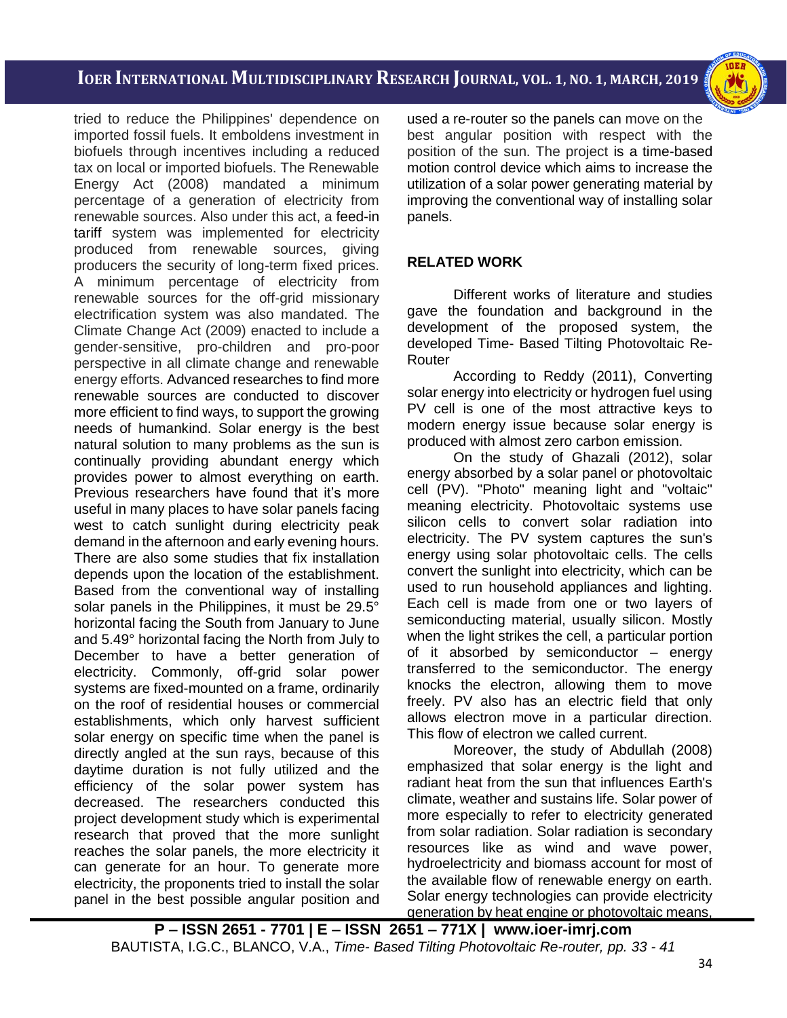i<br>I



tried to reduce the Philippines' dependence on imported fossil fuels. It emboldens investment in biofuels through incentives including a reduced tax on local or imported biofuels. The Renewable Energy Act (2008) mandated a minimum percentage of a generation of electricity from renewable sources. Also under this act, a [feed-in](https://en.wikipedia.org/wiki/Feed-in_tariff)  [tariff](https://en.wikipedia.org/wiki/Feed-in_tariff) system was implemented for electricity produced from renewable sources, giving producers the security of long-term fixed prices. A minimum percentage of electricity from renewable sources for the off-grid missionary electrification system was also mandated. The Climate Change Act (2009) enacted to include a gender-sensitive, pro-children and pro-poor perspective in all climate change and renewable energy efforts. Advanced researches to find more renewable sources are conducted to discover more efficient to find ways, to support the growing needs of humankind. Solar energy is the best natural solution to many problems as the sun is continually providing abundant energy which provides power to almost everything on earth. Previous researchers have found that it's more useful in many places to have solar panels facing west to catch sunlight during electricity peak demand in the afternoon and early evening hours. There are also some studies that fix installation depends upon the location of the establishment. Based from the conventional way of installing solar panels in the Philippines, it must be 29.5° horizontal facing the South from January to June and 5.49° horizontal facing the North from July to December to have a better generation of electricity. Commonly, off-grid solar power systems are fixed-mounted on a frame, ordinarily on the roof of residential houses or commercial establishments, which only harvest sufficient solar energy on specific time when the panel is directly angled at the sun rays, because of this daytime duration is not fully utilized and the efficiency of the solar power system has decreased. The researchers conducted this project development study which is experimental research that proved that the more sunlight reaches the solar panels, the more electricity it can generate for an hour. To generate more electricity, the proponents tried to install the solar panel in the best possible angular position and used a re-router so the panels can move on the best angular position with respect with the position of the sun. The project is a time-based motion control device which aims to increase the utilization of a solar power generating material by improving the conventional way of installing solar panels.

# **RELATED WORK**

Different works of literature and studies gave the foundation and background in the development of the proposed system, the developed Time- Based Tilting Photovoltaic Re-Router

According to Reddy (2011), Converting solar energy into electricity or hydrogen fuel using PV cell is one of the most attractive keys to modern energy issue because solar energy is produced with almost zero carbon emission.

On the study of Ghazali (2012), solar energy absorbed by a solar panel or photovoltaic cell (PV). "Photo" meaning light and "voltaic" meaning electricity. Photovoltaic systems use silicon cells to convert solar radiation into electricity. The PV system captures the sun's energy using solar photovoltaic cells. The cells convert the sunlight into electricity, which can be used to run household appliances and lighting. Each cell is made from one or two layers of semiconducting material, usually silicon. Mostly when the light strikes the cell, a particular portion of it absorbed by semiconductor – energy transferred to the semiconductor. The energy knocks the electron, allowing them to move freely. PV also has an electric field that only allows electron move in a particular direction. This flow of electron we called current.

Moreover, the study of Abdullah (2008) emphasized that solar energy is the light and radiant heat from the sun that influences Earth's climate, weather and sustains life. Solar power of more especially to refer to electricity generated from solar radiation. Solar radiation is secondary resources like as wind and wave power, hydroelectricity and biomass account for most of the available flow of renewable energy on earth. Solar energy technologies can provide electricity generation by heat engine or photovoltaic means,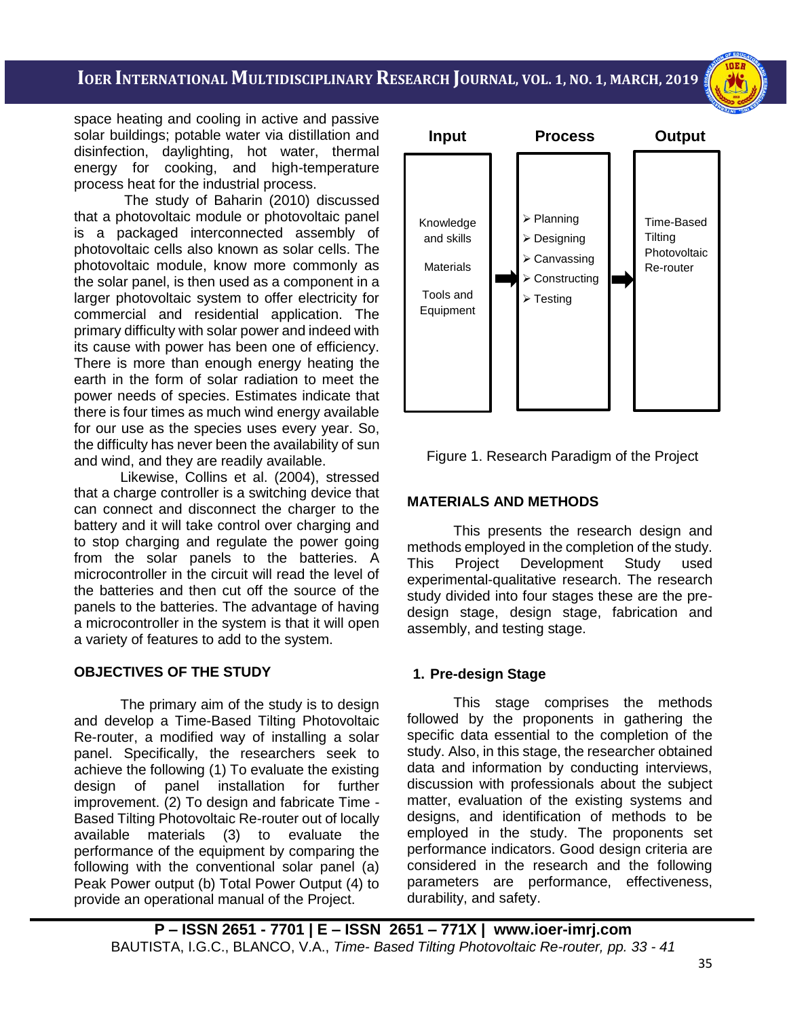space heating and cooling in active and passive solar buildings; potable water via distillation and disinfection, daylighting, hot water, thermal energy for cooking, and high-temperature process heat for the industrial process.

The study of Baharin (2010) discussed that a photovoltaic module or photovoltaic panel is a packaged interconnected assembly of photovoltaic cells also known as solar cells. The photovoltaic module, know more commonly as the solar panel, is then used as a component in a larger photovoltaic system to offer electricity for commercial and residential application. The primary difficulty with solar power and indeed with its cause with power has been one of efficiency. There is more than enough energy heating the earth in the form of solar radiation to meet the power needs of species. Estimates indicate that there is four times as much wind energy available for our use as the species uses every year. So, the difficulty has never been the availability of sun and wind, and they are readily available.

Likewise, Collins et al. (2004), stressed that a charge controller is a switching device that can connect and disconnect the charger to the battery and it will take control over charging and to stop charging and regulate the power going from the solar panels to the batteries. A microcontroller in the circuit will read the level of the batteries and then cut off the source of the panels to the batteries. The advantage of having a microcontroller in the system is that it will open a variety of features to add to the system.

## **OBJECTIVES OF THE STUDY**

The primary aim of the study is to design and develop a Time-Based Tilting Photovoltaic Re-router, a modified way of installing a solar panel. Specifically, the researchers seek to achieve the following (1) To evaluate the existing design of panel installation for further improvement. (2) To design and fabricate Time - Based Tilting Photovoltaic Re-router out of locally available materials (3) to evaluate the performance of the equipment by comparing the following with the conventional solar panel (a) Peak Power output (b) Total Power Output (4) to provide an operational manual of the Project.





## **MATERIALS AND METHODS**

This presents the research design and methods employed in the completion of the study. This Project Development Study used experimental-qualitative research. The research study divided into four stages these are the predesign stage, design stage, fabrication and assembly, and testing stage.

## **1. Pre-design Stage**

This stage comprises the methods followed by the proponents in gathering the specific data essential to the completion of the study. Also, in this stage, the researcher obtained data and information by conducting interviews, discussion with professionals about the subject matter, evaluation of the existing systems and designs, and identification of methods to be employed in the study. The proponents set performance indicators. Good design criteria are considered in the research and the following parameters are performance, effectiveness, durability, and safety.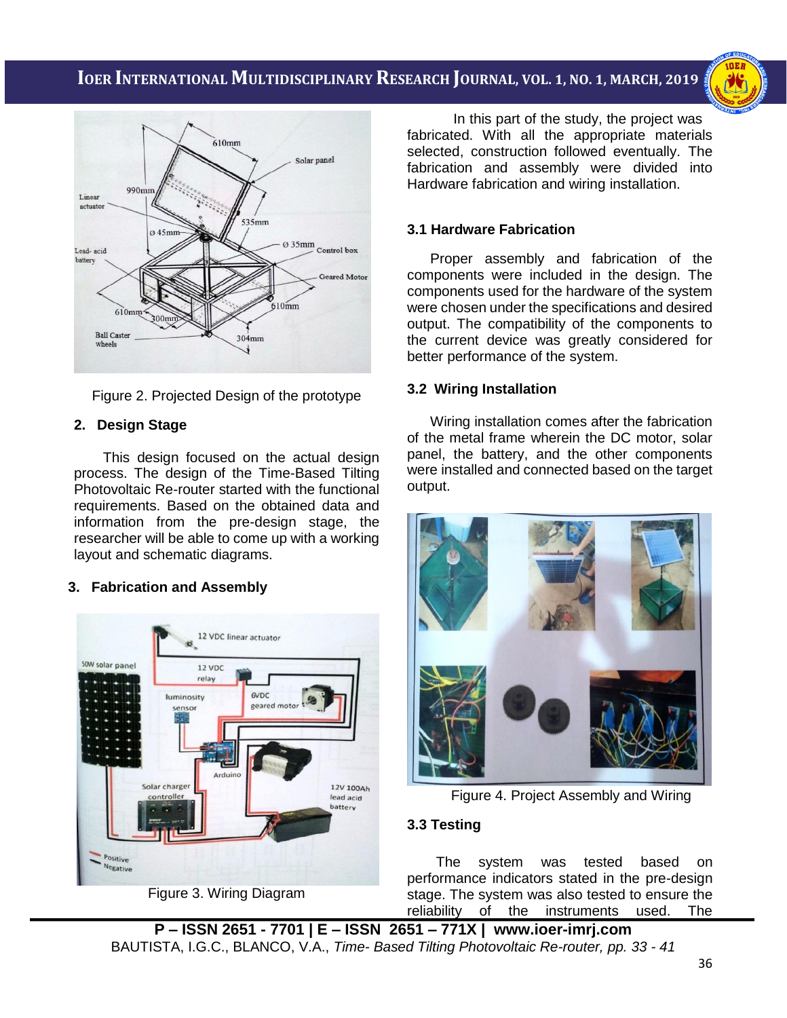i<br>I



Figure 2. Projected Design of the prototype

# **2. Design Stage**

This design focused on the actual design process. The design of the Time-Based Tilting Photovoltaic Re-router started with the functional requirements. Based on the obtained data and information from the pre-design stage, the researcher will be able to come up with a working layout and schematic diagrams.

# **3. Fabrication and Assembly**



Figure 3. Wiring Diagram

In this part of the study, the project was fabricated. With all the appropriate materials selected, construction followed eventually. The fabrication and assembly were divided into Hardware fabrication and wiring installation.

# **3.1 Hardware Fabrication**

Proper assembly and fabrication of the components were included in the design. The components used for the hardware of the system were chosen under the specifications and desired output. The compatibility of the components to the current device was greatly considered for better performance of the system.

# **3.2 Wiring Installation**

Wiring installation comes after the fabrication of the metal frame wherein the DC motor, solar panel, the battery, and the other components were installed and connected based on the target output.



Figure 4. Project Assembly and Wiring

# **3.3 Testing**

The system was tested based on performance indicators stated in the pre-design stage. The system was also tested to ensure the reliability of the instruments used. The

**P – ISSN 2651 - 7701 | E – ISSN 2651 – 771X | [www.ioer-imrj.com](http://www.ioer-imrj.com/)** BAUTISTA, I.G.C., BLANCO, V.A., *Time- Based Tilting Photovoltaic Re-router, pp. 33 - 41*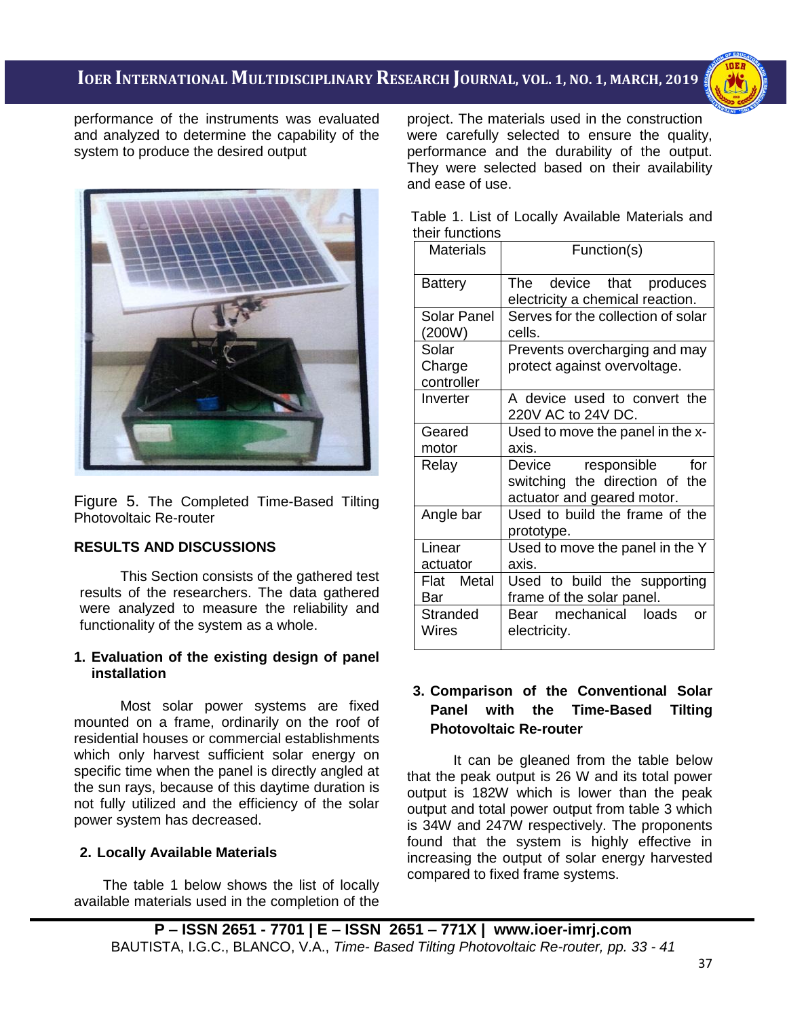i<br>I



performance of the instruments was evaluated and analyzed to determine the capability of the system to produce the desired output



Figure 5. The Completed Time-Based Tilting Photovoltaic Re-router

# **RESULTS AND DISCUSSIONS**

This Section consists of the gathered test results of the researchers. The data gathered were analyzed to measure the reliability and functionality of the system as a whole.

#### **1. Evaluation of the existing design of panel installation**

Most solar power systems are fixed mounted on a frame, ordinarily on the roof of residential houses or commercial establishments which only harvest sufficient solar energy on specific time when the panel is directly angled at the sun rays, because of this daytime duration is not fully utilized and the efficiency of the solar power system has decreased.

## **2. Locally Available Materials**

The table 1 below shows the list of locally available materials used in the completion of the project. The materials used in the construction were carefully selected to ensure the quality, performance and the durability of the output. They were selected based on their availability and ease of use.

|                 |  | Table 1. List of Locally Available Materials and |  |
|-----------------|--|--------------------------------------------------|--|
| their functions |  |                                                  |  |

| <b>Materials</b>                                               | Function(s)                                                                               |  |  |  |  |
|----------------------------------------------------------------|-------------------------------------------------------------------------------------------|--|--|--|--|
| Battery                                                        | The device that produces<br>electricity a chemical reaction.                              |  |  |  |  |
| <b>Solar Panel</b><br>(200W)                                   | Serves for the collection of solar<br>cells.                                              |  |  |  |  |
| Solar<br>Charge<br>controller                                  | Prevents overcharging and may<br>protect against overvoltage.                             |  |  |  |  |
| Inverter                                                       | A device used to convert the<br>220V AC to 24V DC.                                        |  |  |  |  |
| Geared<br>motor                                                | Used to move the panel in the x-<br>axis.                                                 |  |  |  |  |
| Relay                                                          | Device responsible<br>for<br>switching the direction of the<br>actuator and geared motor. |  |  |  |  |
| Used to build the frame of the<br>Angle bar<br>prototype.      |                                                                                           |  |  |  |  |
| Linear<br>Used to move the panel in the Y<br>axis.<br>actuator |                                                                                           |  |  |  |  |
| Flat Metal<br>Bar                                              | Used to build the supporting<br>frame of the solar panel.                                 |  |  |  |  |
| Stranded<br>Wires                                              | mechanical<br>loads<br>Bear<br>or<br>electricity.                                         |  |  |  |  |

## **3. Comparison of the Conventional Solar Panel with the Time-Based Tilting Photovoltaic Re-router**

It can be gleaned from the table below that the peak output is 26 W and its total power output is 182W which is lower than the peak output and total power output from table 3 which is 34W and 247W respectively. The proponents found that the system is highly effective in increasing the output of solar energy harvested compared to fixed frame systems.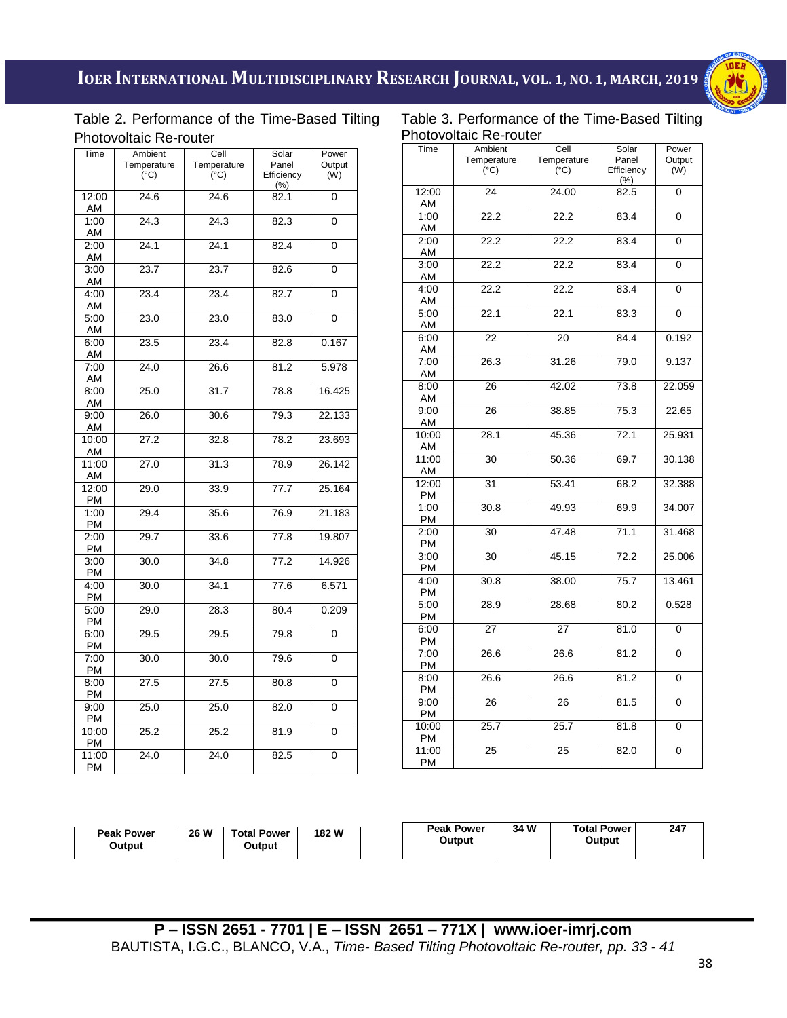

# Table 2. Performance of the Time-Based Tilting Photovoltaic Re-router

i<br>I Table 3. Performance of the Time-Based Tilting Photovoltaic Re-router

| Time  | Ambient       | Cell          | Solar               | Power          |  |  |  |
|-------|---------------|---------------|---------------------|----------------|--|--|--|
|       | Temperature   | Temperature   | Panel<br>Efficiency | Output         |  |  |  |
|       | $(^{\circ}C)$ | $(^{\circ}C)$ | $(\% )$             | (W)            |  |  |  |
| 12:00 | 24.6          | 24.6          | 82.1                | 0              |  |  |  |
|       |               |               |                     |                |  |  |  |
| AM    |               |               |                     |                |  |  |  |
| 1:00  | 24.3          | 24.3          | 82.3                | $\overline{0}$ |  |  |  |
| AM    |               |               |                     |                |  |  |  |
| 2:00  | 24.1          | 24.1          | 82.4                | 0              |  |  |  |
| ΑM    |               |               |                     |                |  |  |  |
| 3:00  | 23.7          | 23.7          | 82.6                | 0              |  |  |  |
| AM    |               |               |                     |                |  |  |  |
| 4:00  | 23.4          | 23.4          | 82.7                | 0              |  |  |  |
| AM    |               |               |                     |                |  |  |  |
| 5:00  | 23.0          | 23.0          | 83.0                | 0              |  |  |  |
| AM    |               |               |                     |                |  |  |  |
|       |               |               |                     |                |  |  |  |
| 6:00  | 23.5          | 23.4          | 82.8                | 0.167          |  |  |  |
| AM    |               |               |                     |                |  |  |  |
| 7:00  | 24.0          | 26.6          | 81.2                | 5.978          |  |  |  |
| AM    |               |               |                     |                |  |  |  |
| 8:00  | 25.0          | 31.7          | 78.8                | 16.425         |  |  |  |
| AM    |               |               |                     |                |  |  |  |
| 9:00  | 26.0          | 30.6          | 79.3                | 22.133         |  |  |  |
| AM    |               |               |                     |                |  |  |  |
| 10:00 | 27.2          | 32.8          | 78.2                | 23.693         |  |  |  |
| ΑM    |               |               |                     |                |  |  |  |
| 11:00 | 27.0          | 31.3          | 78.9                | 26.142         |  |  |  |
| AM    |               |               |                     |                |  |  |  |
|       | 29.0          | 33.9          | 77.7                | 25.164         |  |  |  |
| 12:00 |               |               |                     |                |  |  |  |
| PM    |               |               |                     |                |  |  |  |
| 1:00  | 29.4          | 35.6          | 76.9                | 21.183         |  |  |  |
| РM    |               |               |                     |                |  |  |  |
| 2:00  | 29.7          | 33.6          | 77.8                | 19.807         |  |  |  |
| РM    |               |               |                     |                |  |  |  |
| 3:00  | 30.0          | 34.8          | 77.2                | 14.926         |  |  |  |
| PM    |               |               |                     |                |  |  |  |
| 4:00  | 30.0          | 34.1          | 77.6                | 6.571          |  |  |  |
| PM    |               |               |                     |                |  |  |  |
| 5:00  | 29.0          | 28.3          | 80.4                | 0.209          |  |  |  |
| РM    |               |               |                     |                |  |  |  |
| 6:00  | 29.5          | 29.5          | 79.8                | 0              |  |  |  |
| PM    |               |               |                     |                |  |  |  |
|       |               |               |                     |                |  |  |  |
| 7:00  | 30.0          | 30.0          | 79.6                | 0              |  |  |  |
| PM    |               |               |                     |                |  |  |  |
| 8:00  | 27.5          | 27.5          | 80.8                | 0              |  |  |  |
| PM    |               |               |                     |                |  |  |  |
| 9:00  | 25.0          | 25.0          | 82.0                | 0              |  |  |  |
| PM    |               |               |                     |                |  |  |  |
| 10:00 | 25.2          | 25.2          | 81.9                | 0              |  |  |  |
| PM    |               |               |                     |                |  |  |  |
| 11:00 | 24.0          | 24.0          | 82.5                | 0              |  |  |  |
| PM    |               |               |                     |                |  |  |  |
|       |               |               |                     |                |  |  |  |

| <b>INUVURAL NUTURE</b> |                                         |                                      |                                      |                        |  |  |
|------------------------|-----------------------------------------|--------------------------------------|--------------------------------------|------------------------|--|--|
| Time                   | Ambient<br>Temperature<br>$(^{\circ}C)$ | Cell<br>Temperature<br>$(^{\circ}C)$ | Solar<br>Panel<br>Efficiency<br>(% ) | Power<br>Output<br>(W) |  |  |
| 12:00<br>AM            | 24                                      | 24.00                                | 82.5                                 | $\overline{0}$         |  |  |
| 1:00<br>AM             | 22.2                                    | 22.2                                 | 83.4                                 | 0                      |  |  |
| 2:00<br>AM             | 22.2                                    | 22.2                                 | 83.4                                 | 0                      |  |  |
| 3:00<br>AM             | 22.2                                    | 22.2                                 | 83.4                                 | 0                      |  |  |
| 4:00<br>AM             | 22.2                                    | 22.2                                 | 83.4                                 | 0                      |  |  |
| 5:00<br>AM             | $\overline{2}2.1$                       | 22.1                                 | 83.3                                 | 0                      |  |  |
| 6:00<br>AM             | 22                                      | 20                                   | 84.4                                 | 0.192                  |  |  |
| 7:00<br>AM             | 26.3                                    | 31.26                                | 79.0                                 | 9.137                  |  |  |
| 8:00<br>AM             | 26                                      | 42.02                                | 73.8                                 | 22.059                 |  |  |
| 9:00<br>AM             | 26                                      | 38.85                                | 75.3                                 | 22.65                  |  |  |
| 10:00<br>AM            | 28.1                                    | 45.36                                | 72.1                                 | 25.931                 |  |  |
| 11:00<br>AM            | 30                                      | 50.36                                | 69.7                                 | 30.138                 |  |  |
| 12:00<br>PM            | 31                                      | 53.41                                | 68.2                                 | 32.388                 |  |  |
| 1:00<br>PM             | 30.8                                    | 49.93                                | 69.9                                 | 34.007                 |  |  |
| 2:00<br><b>PM</b>      | 30                                      | 47.48                                | 71.1                                 | 31.468                 |  |  |
| 3:00<br>PM             | 30                                      | 45.15                                | 72.2                                 | 25.006                 |  |  |
| 4:00<br><b>PM</b>      | 30.8                                    | 38.00                                | 75.7                                 | 13.461                 |  |  |
| 5:00<br><b>PM</b>      | 28.9                                    | 28.68                                | 80.2                                 | 0.528                  |  |  |
| 6:00<br><b>PM</b>      | 27                                      | 27                                   | 81.0                                 | 0                      |  |  |
| 7:00<br>PM             | 26.6                                    | 26.6                                 | 81.2                                 | 0                      |  |  |
| 8:00<br>PM             | 26.6                                    | 26.6                                 | 81.2                                 | 0                      |  |  |
| 9:00<br>PM             | 26                                      | 26                                   | 81.5                                 | 0                      |  |  |
| 10:00<br>PM            | 25.7                                    | 25.7                                 | 81.8                                 | 0                      |  |  |
| 11:00<br><b>PM</b>     | 25                                      | 25                                   | 82.0                                 | 0                      |  |  |

| 26 W<br>182W<br><b>Total Power</b><br>Peak Power<br>Output<br>Output | <b>Peak Power</b><br>Output | 34 W | <b>Total Power</b><br>Output | 247 |
|----------------------------------------------------------------------|-----------------------------|------|------------------------------|-----|
|----------------------------------------------------------------------|-----------------------------|------|------------------------------|-----|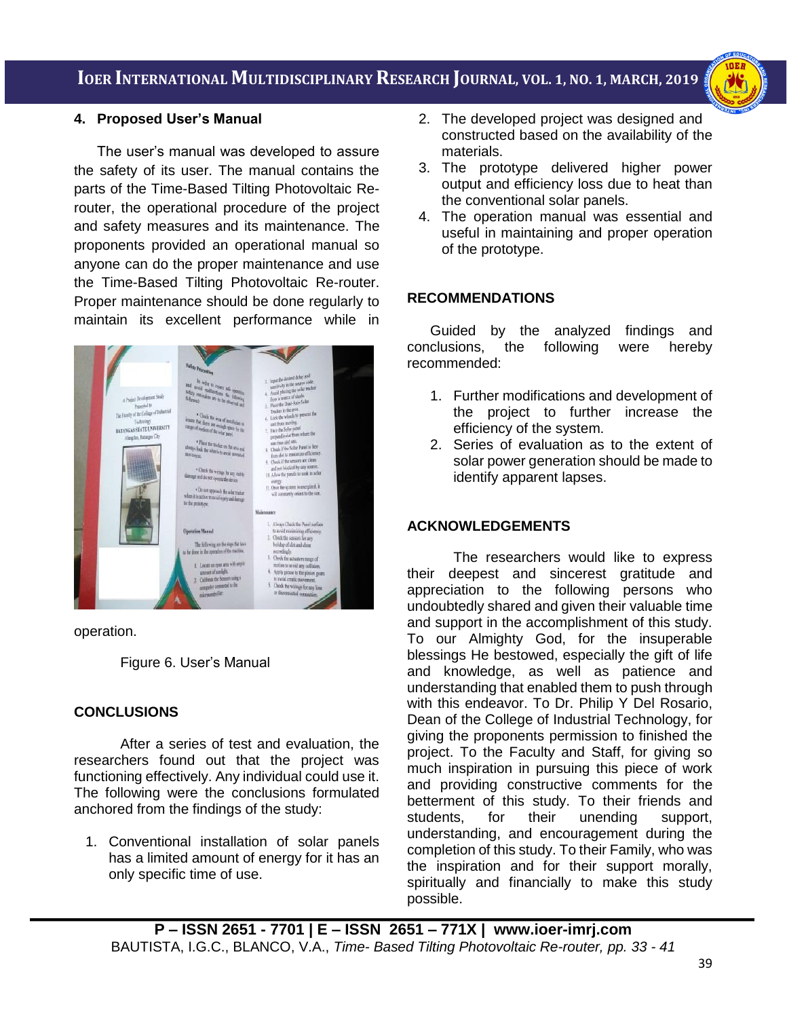i<br>I



### **4. Proposed User's Manual**

The user's manual was developed to assure the safety of its user. The manual contains the parts of the Time-Based Tilting Photovoltaic Rerouter, the operational procedure of the project and safety measures and its maintenance. The proponents provided an operational manual so anyone can do the proper maintenance and use the Time-Based Tilting Photovoltaic Re-router. Proper maintenance should be done regularly to maintain its excellent performance while in



operation.

Figure 6. User's Manual

#### **CONCLUSIONS**

After a series of test and evaluation, the researchers found out that the project was functioning effectively. Any individual could use it. The following were the conclusions formulated anchored from the findings of the study:

1. Conventional installation of solar panels has a limited amount of energy for it has an only specific time of use.

- 2. The developed project was designed and constructed based on the availability of the materials.
- 3. The prototype delivered higher power output and efficiency loss due to heat than the conventional solar panels.
- 4. The operation manual was essential and useful in maintaining and proper operation of the prototype.

#### **RECOMMENDATIONS**

Guided by the analyzed findings and conclusions, the following were hereby recommended:

- 1. Further modifications and development of the project to further increase the efficiency of the system.
- 2. Series of evaluation as to the extent of solar power generation should be made to identify apparent lapses.

#### **ACKNOWLEDGEMENTS**

The researchers would like to express their deepest and sincerest gratitude and appreciation to the following persons who undoubtedly shared and given their valuable time and support in the accomplishment of this study. To our Almighty God, for the insuperable blessings He bestowed, especially the gift of life and knowledge, as well as patience and understanding that enabled them to push through with this endeavor. To Dr. Philip Y Del Rosario, Dean of the College of Industrial Technology, for giving the proponents permission to finished the project. To the Faculty and Staff, for giving so much inspiration in pursuing this piece of work and providing constructive comments for the betterment of this study. To their friends and students, for their unending support, understanding, and encouragement during the completion of this study. To their Family, who was the inspiration and for their support morally, spiritually and financially to make this study possible.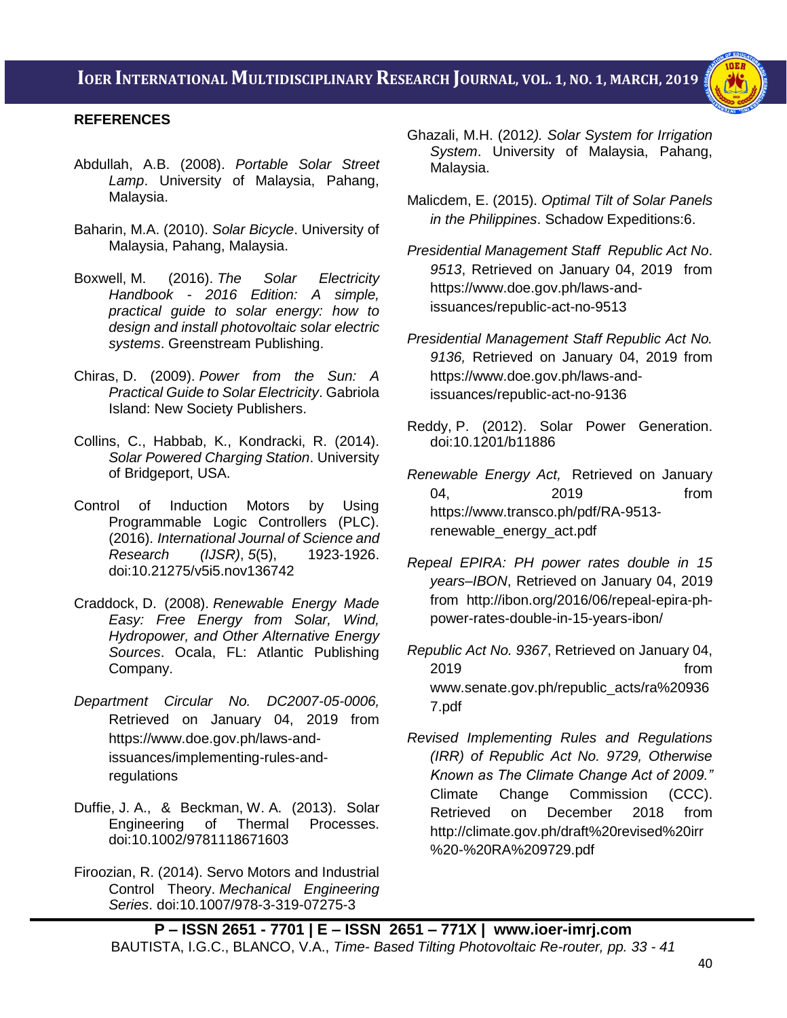i<br>I



# **REFERENCES**

- Abdullah, A.B. (2008). *Portable Solar Street Lamp*. University of Malaysia, Pahang, Malaysia.
- Baharin, M.A. (2010). *Solar Bicycle*. University of Malaysia, Pahang, Malaysia.
- Boxwell, M. (2016). *The Solar Electricity Handbook - 2016 Edition: A simple, practical guide to solar energy: how to design and install photovoltaic solar electric systems*. Greenstream Publishing.
- Chiras, D. (2009). *Power from the Sun: A Practical Guide to Solar Electricity*. Gabriola Island: New Society Publishers.
- Collins, C., Habbab, K., Kondracki, R. (2014). *Solar Powered Charging Station*. University of Bridgeport, USA.
- Control of Induction Motors by Using Programmable Logic Controllers (PLC). (2016). *International Journal of Science and Research (IJSR)*, *5*(5), 1923-1926. doi:10.21275/v5i5.nov136742
- Craddock, D. (2008). *Renewable Energy Made Easy: Free Energy from Solar, Wind, Hydropower, and Other Alternative Energy Sources*. Ocala, FL: Atlantic Publishing Company.
- *[Department Circular No. DC2007-05-0006,](https://www.doe.gov.ph/sites/default/files/pdf/issuances/dc_2007-05-0006.pdf)* Retrieved on January 04, 2019 from https://www.doe.gov.ph/laws-andissuances/implementing-rules-andregulations
- Duffie, J. A., & Beckman, W. A. (2013). Solar Engineering of Thermal Processes. doi:10.1002/9781118671603
- Firoozian, R. (2014). Servo Motors and Industrial Control Theory. *Mechanical Engineering Series*. doi:10.1007/978-3-319-07275-3
- Ghazali, M.H. (2012*). Solar System for Irrigation System*. University of Malaysia, Pahang, Malaysia.
- Malicdem, E. (2015). *Optimal Tilt of Solar Panels in the Philippines*. Schadow Expeditions:6.
- *Presidential Management Staff [Republic Act No](Republic%20Act%20No.%209513,%20Retrieved%20on%20January%2004,%202019%20%20from%20https:/www.doe.gov.ph/laws-and-issuances/republic-act-no-9513)*. *9513*[, Retrieved on January 04, 2019 from](Republic%20Act%20No.%209513,%20Retrieved%20on%20January%2004,%202019%20%20from%20https:/www.doe.gov.ph/laws-and-issuances/republic-act-no-9513)  [https://www.doe.gov.ph/laws-and](Republic%20Act%20No.%209513,%20Retrieved%20on%20January%2004,%202019%20%20from%20https:/www.doe.gov.ph/laws-and-issuances/republic-act-no-9513)[issuances/republic-act-no-9513](Republic%20Act%20No.%209513,%20Retrieved%20on%20January%2004,%202019%20%20from%20https:/www.doe.gov.ph/laws-and-issuances/republic-act-no-9513)
- *Presidential Management Staff [Republic Act No.](http://officialgazette.gov.ph/downloads/2001/06jun/20010608-RA-09136-GMA.pdf)  9136,* [Retrieved](http://officialgazette.gov.ph/downloads/2001/06jun/20010608-RA-09136-GMA.pdf) on January 04, 2019 from https://www.doe.gov.ph/laws-andissuances/republic-act-no-9136
- Reddy, P. (2012). Solar Power Generation. doi:10.1201/b11886
- *[Renewable Energy Act,](http://www.reurasia.com/single-post/2016/09/13/Latest-Renewable-Energies-Projects-in-the-Philippines)* Retrieved on January 04, 2019 from https://www.transco.ph/pdf/RA-9513 renewable\_energy\_act.pdf
- *[Repeal EPIRA: PH power rates double in 15](http://ibon.org/2016/06/repeal-epira-ph-power-rates-double-in-15-years-ibon/)  [years–IBON](http://ibon.org/2016/06/repeal-epira-ph-power-rates-double-in-15-years-ibon/)*, Retrieved on January 04, 2019 from http://ibon.org/2016/06/repeal-epira-phpower-rates-double-in-15-years-ibon/
- *Republic Act No. 9367*, Retrieved on January 04, 2019 from www.senate.gov.ph/republic\_acts/ra%20936 7.pdf
- *Revised Implementing Rules and Regulations (IRR) of Republic Act No. 9729, Otherwise Known as The Climate Change Act of 2009."* Climate Change Commission (CCC). Retrieved on December 2018 from http://climate.gov.ph/draft%20revised%20irr %20-%20RA%209729.pdf